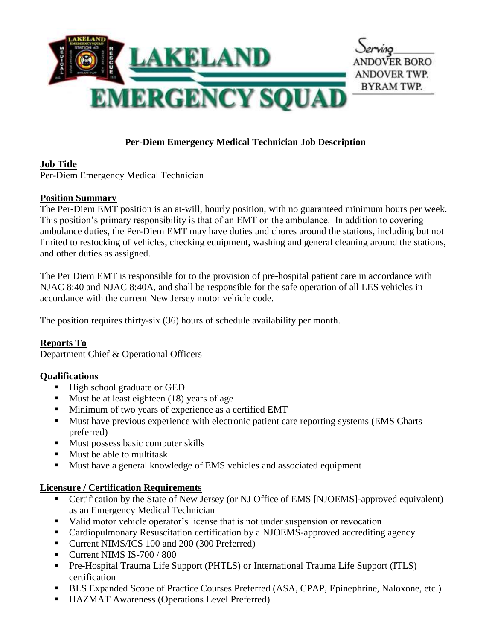

# **Per-Diem Emergency Medical Technician Job Description**

### **Job Title**

Per-Diem Emergency Medical Technician

### **Position Summary**

The Per-Diem EMT position is an at-will, hourly position, with no guaranteed minimum hours per week. This position's primary responsibility is that of an EMT on the ambulance. In addition to covering ambulance duties, the Per-Diem EMT may have duties and chores around the stations, including but not limited to restocking of vehicles, checking equipment, washing and general cleaning around the stations, and other duties as assigned.

The Per Diem EMT is responsible for to the provision of pre-hospital patient care in accordance with NJAC 8:40 and NJAC 8:40A, and shall be responsible for the safe operation of all LES vehicles in accordance with the current New Jersey motor vehicle code.

The position requires thirty-six (36) hours of schedule availability per month.

# **Reports To**

Department Chief & Operational Officers

# **Qualifications**

- High school graduate or GED
- Must be at least eighteen (18) years of age
- Minimum of two years of experience as a certified EMT
- Must have previous experience with electronic patient care reporting systems (EMS Charts preferred)
- Must possess basic computer skills
- Must be able to multitask
- Must have a general knowledge of EMS vehicles and associated equipment

### **Licensure / Certification Requirements**

- Certification by the State of New Jersey (or NJ Office of EMS [NJOEMS]-approved equivalent) as an Emergency Medical Technician
- Valid motor vehicle operator's license that is not under suspension or revocation
- Cardiopulmonary Resuscitation certification by a NJOEMS-approved accrediting agency
- Current NIMS/ICS 100 and 200 (300 Preferred)
- **Current NIMS IS-700 / 800**
- **•** Pre-Hospital Trauma Life Support (PHTLS) or International Trauma Life Support (ITLS) certification
- BLS Expanded Scope of Practice Courses Preferred (ASA, CPAP, Epinephrine, Naloxone, etc.)
- HAZMAT Awareness (Operations Level Preferred)